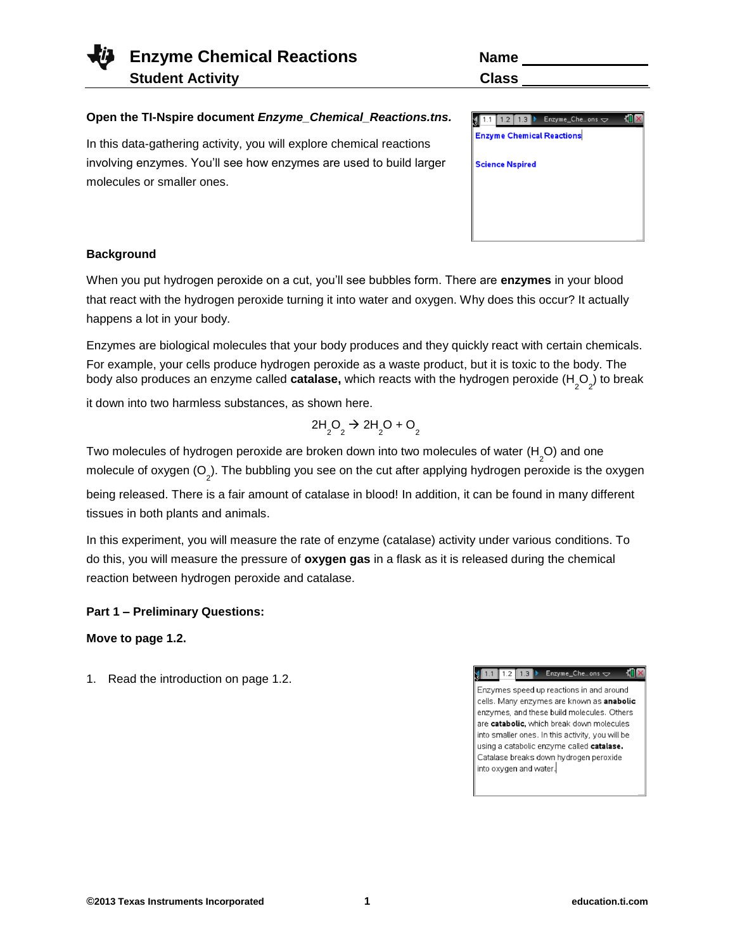| Enzyme Chemical Reactions | Name  |
|---------------------------|-------|
| <b>Student Activity</b>   | Class |

| <b>Name</b>  |  |
|--------------|--|
| <b>Class</b> |  |

#### **Open the TI-Nspire document** *Enzyme\_Chemical\_Reactions.tns.*

In this data-gathering activity, you will explore chemical reactions involving enzymes. You'll see how enzymes are used to build larger molecules or smaller ones.

| Enzyme_Cheons $\overline{\smile}$<br>1.3 |  |
|------------------------------------------|--|
| <b>Enzyme Chemical Reactions</b>         |  |
|                                          |  |
| <b>Science Nspired</b>                   |  |
|                                          |  |
|                                          |  |
|                                          |  |
|                                          |  |

#### **Background**

When you put hydrogen peroxide on a cut, you'll see bubbles form. There are **enzymes** in your blood that react with the hydrogen peroxide turning it into water and oxygen. Why does this occur? It actually happens a lot in your body.

Enzymes are biological molecules that your body produces and they quickly react with certain chemicals. For example, your cells produce hydrogen peroxide as a waste product, but it is toxic to the body. The body also produces an enzyme called **catalase,** which reacts with the hydrogen peroxide (H<sub>\_2</sub>O<sub>\_2</sub>) to break

it down into two harmless substances, as shown here.

$$
2H_2O_2 \rightarrow 2H_2O + O_2
$$

Two molecules of hydrogen peroxide are broken down into two molecules of water (H<sub>2</sub>O) and one molecule of oxygen (O<sub>2</sub>). The bubbling you see on the cut after applying hydrogen peroxide is the oxygen being released. There is a fair amount of catalase in blood! In addition, it can be found in many different tissues in both plants and animals.

In this experiment, you will measure the rate of enzyme (catalase) activity under various conditions. To do this, you will measure the pressure of **oxygen gas** in a flask as it is released during the chemical reaction between hydrogen peroxide and catalase.

#### **Part 1 – Preliminary Questions:**

**Move to page 1.2.**

1. Read the introduction on page 1.2.

 $\sqrt{1.1}$  1.2 1.3  $\blacktriangleright$  Enzyme\_Che...ons  $\blacktriangleright$ **Kill** X

Enzymes speed up reactions in and around cells. Many enzymes are known as anabolic enzymes, and these build molecules. Others are catabolic, which break down molecules into smaller ones. In this activity, you will be using a catabolic enzyme called catalase. Catalase breaks down hydrogen peroxide into oxygen and water.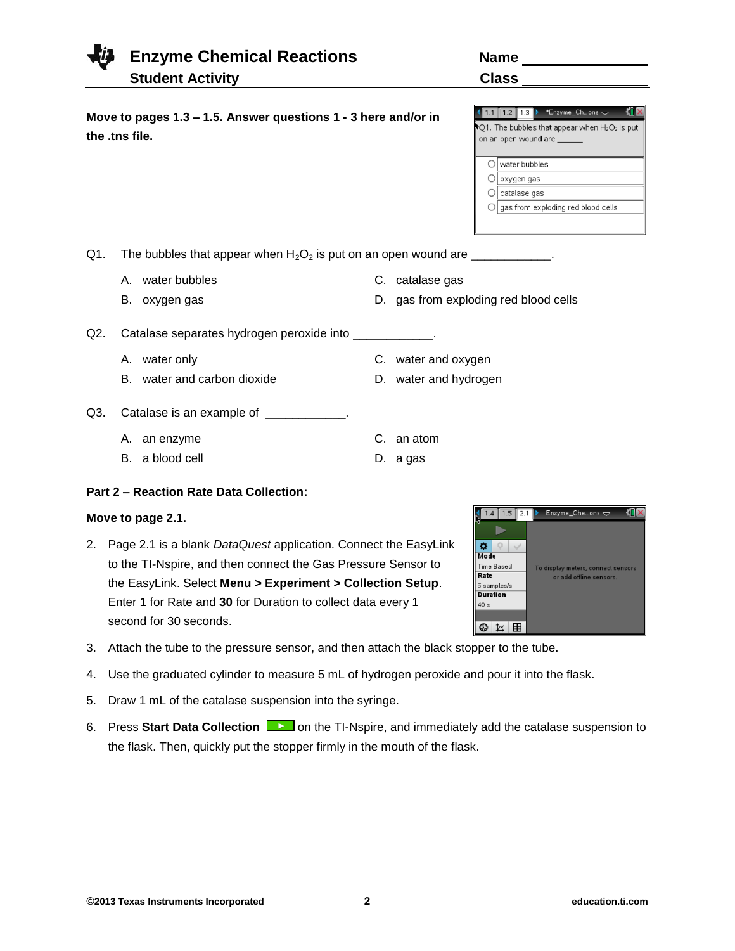# **Enzyme Chemical Reactions Name Student Activity C**

**Move to pages 1.3 – 1.5. Answer questions 1 - 3 here and/or in** 

| .    |  |
|------|--|
|      |  |
|      |  |
| :las |  |

C. catalase gas

C. water and oxygen D. water and hydrogen

C. an atom D. a gas

D. gas from exploding red blood cells

|                                              | *Enzyme Chons $\Rightarrow$<br>1.2<br>1.3 |  |  |  |
|----------------------------------------------|-------------------------------------------|--|--|--|
| Q1. The bubbles that appear when H2O2 is put |                                           |  |  |  |
| on an open wound are                         |                                           |  |  |  |
|                                              |                                           |  |  |  |
|                                              | water bubbles                             |  |  |  |
|                                              | oxygen gas                                |  |  |  |
|                                              | catalase gas                              |  |  |  |
|                                              | gas from exploding red blood cells        |  |  |  |
|                                              |                                           |  |  |  |

Q1. The bubbles that appear when  $H_2O_2$  is put on an open wound are  $\frac{1}{2}$ 

A. water bubbles

**the .tns file.**

B. oxygen gas

Q2. Catalase separates hydrogen peroxide into \_\_\_\_\_\_\_\_\_\_\_\_.

- A. water only
- B. water and carbon dioxide
- Q3. Catalase is an example of \_\_\_\_\_\_\_\_\_\_\_\_.
	- A. an enzyme
	- B. a blood cell

## **Part 2 – Reaction Rate Data Collection:**

## **Move to page 2.1.**

- 2. Page 2.1 is a blank *DataQuest* application. Connect the EasyLink to the TI-Nspire, and then connect the Gas Pressure Sensor to the EasyLink. Select **Menu > Experiment > Collection Setup**. Enter **1** for Rate and **30** for Duration to collect data every 1 second for 30 seconds.
- 3. Attach the tube to the pressure sensor, and then attach the black stopper to the tube.
- 4. Use the graduated cylinder to measure 5 mL of hydrogen peroxide and pour it into the flask.
- 5. Draw 1 mL of the catalase suspension into the syringe.
- 6. Press Start Data Collection **Depart on the TI-Nspire, and immediately add the catalase suspension to** the flask. Then, quickly put the stopper firmly in the mouth of the flask.

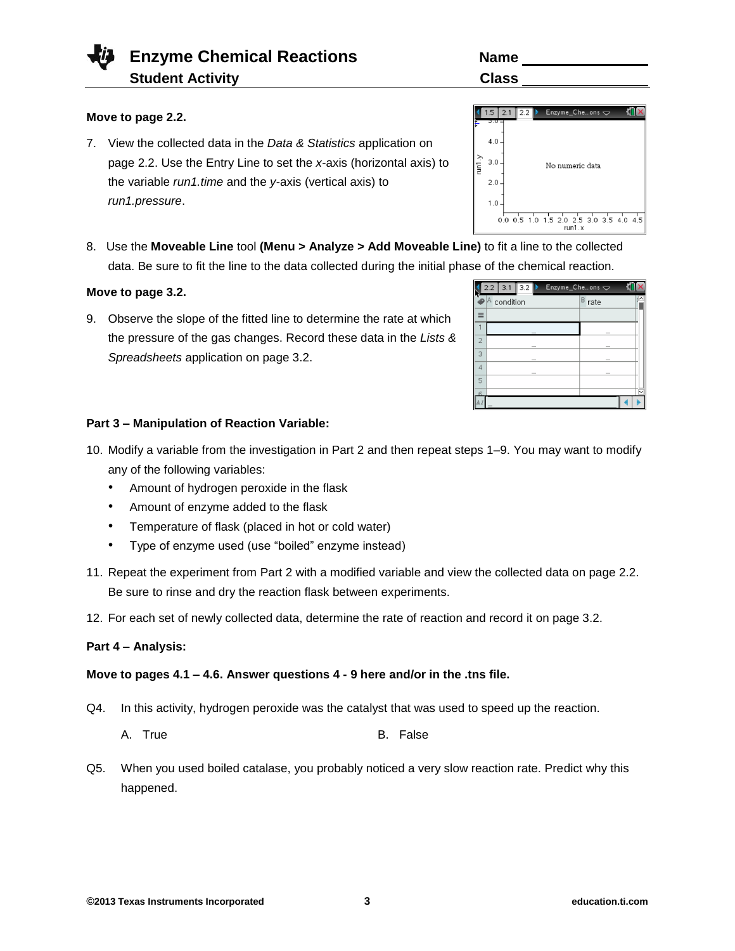# **Enzyme Chemical Reactions Name Student Activity Class 2008**

# **Move to page 2.2.**

- 7. View the collected data in the *Data & Statistics* application on page 2.2. Use the Entry Line to set the *x*-axis (horizontal axis) to the variable *run1.time* and the *y*-axis (vertical axis) to *run1.pressure*.
- 8. Use the **Moveable Line** tool **(Menu > Analyze > Add Moveable Line)** to fit a line to the collected data. Be sure to fit the line to the data collected during the initial phase of the chemical reaction.

#### **Move to page 3.2.**

9. Observe the slope of the fitted line to determine the rate at which the pressure of the gas changes. Record these data in the *Lists & Spreadsheets* application on page 3.2.

# **Part 3 – Manipulation of Reaction Variable:**

- 10. Modify a variable from the investigation in Part 2 and then repeat steps 1–9. You may want to modify any of the following variables:
	- Amount of hydrogen peroxide in the flask
	- Amount of enzyme added to the flask
	- Temperature of flask (placed in hot or cold water)
	- Type of enzyme used (use "boiled" enzyme instead)
- 11. Repeat the experiment from Part 2 with a modified variable and view the collected data on page 2.2. Be sure to rinse and dry the reaction flask between experiments.
- 12. For each set of newly collected data, determine the rate of reaction and record it on page 3.2.

#### **Part 4 – Analysis:**

## **Move to pages 4.1 – 4.6. Answer questions 4 - 9 here and/or in the .tns file.**

- Q4. In this activity, hydrogen peroxide was the catalyst that was used to speed up the reaction.
	- A. True B. False
- Q5. When you used boiled catalase, you probably noticed a very slow reaction rate. Predict why this happened.

| e) to fit a line to the co |  |           |  |  |                          |  |
|----------------------------|--|-----------|--|--|--------------------------|--|
| e of the chemical rea      |  |           |  |  |                          |  |
|                            |  |           |  |  | 2.2 3.1 3.2 > Enzyme_Che |  |
|                            |  | condition |  |  |                          |  |
|                            |  |           |  |  |                          |  |
|                            |  |           |  |  |                          |  |
| $\overline{2}$             |  |           |  |  |                          |  |
|                            |  |           |  |  |                          |  |



| סווופ      |  |
|------------|--|
| `<br>Jlass |  |
|            |  |

No numeric data

0.0 0.5 1.0 1.5 2.0 2.5 3.0 3.5 4.0 4.5

15 21 2.2 Enzyme\_Che...ons

 $4.0$ 

 $2.0$  $1.0$ 

 $\frac{1}{2}$  $3.0.$ 

 $\overline{4}$  $\overline{5}$